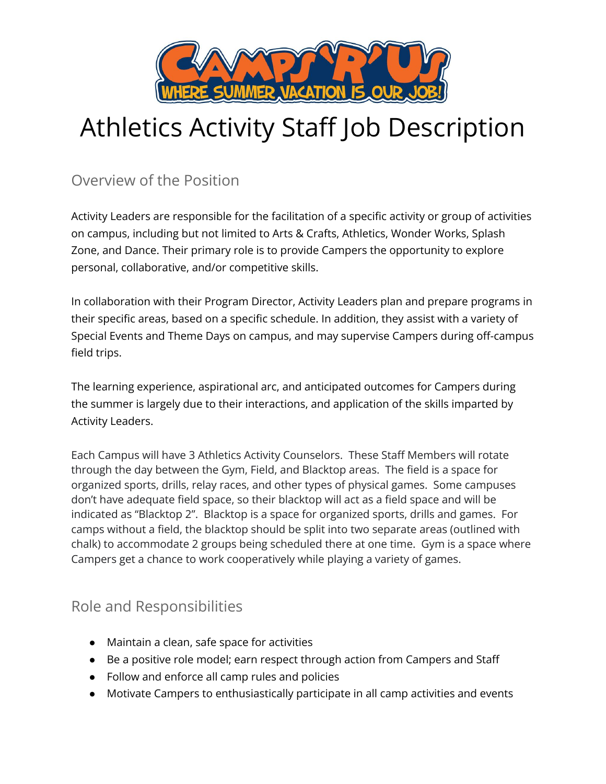

# Athletics Activity Staff Job Description

Overview of the Position

Activity Leaders are responsible for the facilitation of a specific activity or group of activities on campus, including but not limited to Arts & Crafts, Athletics, Wonder Works, Splash Zone, and Dance. Their primary role is to provide Campers the opportunity to explore personal, collaborative, and/or competitive skills.

In collaboration with their Program Director, Activity Leaders plan and prepare programs in their specific areas, based on a specific schedule. In addition, they assist with a variety of Special Events and Theme Days on campus, and may supervise Campers during off-campus field trips.

The learning experience, aspirational arc, and anticipated outcomes for Campers during the summer is largely due to their interactions, and application of the skills imparted by Activity Leaders.

Each Campus will have 3 Athletics Activity Counselors. These Staff Members will rotate through the day between the Gym, Field, and Blacktop areas. The field is a space for organized sports, drills, relay races, and other types of physical games. Some campuses don't have adequate field space, so their blacktop will act as a field space and will be indicated as "Blacktop 2". Blacktop is a space for organized sports, drills and games. For camps without a field, the blacktop should be split into two separate areas (outlined with chalk) to accommodate 2 groups being scheduled there at one time. Gym is a space where Campers get a chance to work cooperatively while playing a variety of games.

### Role and Responsibilities

- Maintain a clean, safe space for activities
- Be a positive role model; earn respect through action from Campers and Staff
- Follow and enforce all camp rules and policies
- Motivate Campers to enthusiastically participate in all camp activities and events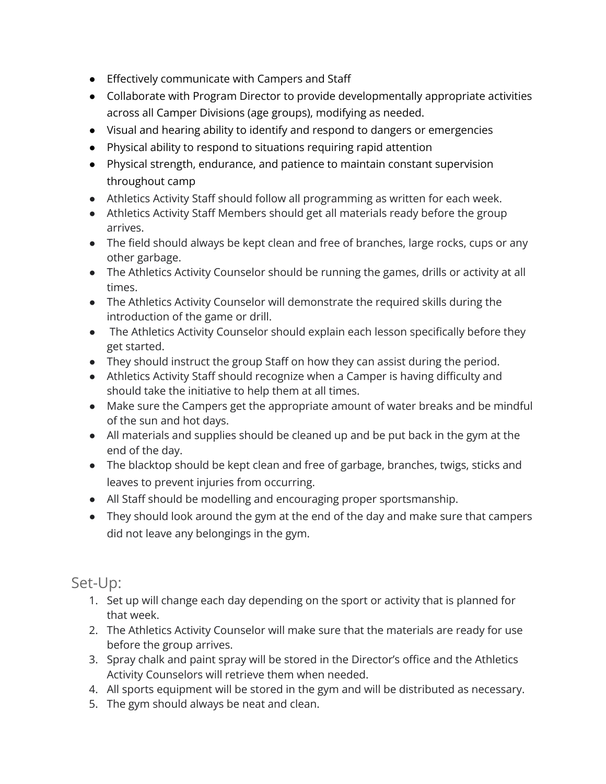- Effectively communicate with Campers and Staff
- Collaborate with Program Director to provide developmentally appropriate activities across all Camper Divisions (age groups), modifying as needed.
- Visual and hearing ability to identify and respond to dangers or emergencies
- Physical ability to respond to situations requiring rapid attention
- Physical strength, endurance, and patience to maintain constant supervision throughout camp
- Athletics Activity Staff should follow all programming as written for each week.
- Athletics Activity Staff Members should get all materials ready before the group arrives.
- The field should always be kept clean and free of branches, large rocks, cups or any other garbage.
- The Athletics Activity Counselor should be running the games, drills or activity at all times.
- The Athletics Activity Counselor will demonstrate the required skills during the introduction of the game or drill.
- The Athletics Activity Counselor should explain each lesson specifically before they get started.
- They should instruct the group Staff on how they can assist during the period.
- Athletics Activity Staff should recognize when a Camper is having difficulty and should take the initiative to help them at all times.
- Make sure the Campers get the appropriate amount of water breaks and be mindful of the sun and hot days.
- All materials and supplies should be cleaned up and be put back in the gym at the end of the day.
- The blacktop should be kept clean and free of garbage, branches, twigs, sticks and leaves to prevent injuries from occurring.
- All Staff should be modelling and encouraging proper sportsmanship.
- They should look around the gym at the end of the day and make sure that campers did not leave any belongings in the gym.

Set-Up:

- 1. Set up will change each day depending on the sport or activity that is planned for that week.
- 2. The Athletics Activity Counselor will make sure that the materials are ready for use before the group arrives.
- 3. Spray chalk and paint spray will be stored in the Director's office and the Athletics Activity Counselors will retrieve them when needed.
- 4. All sports equipment will be stored in the gym and will be distributed as necessary.
- 5. The gym should always be neat and clean.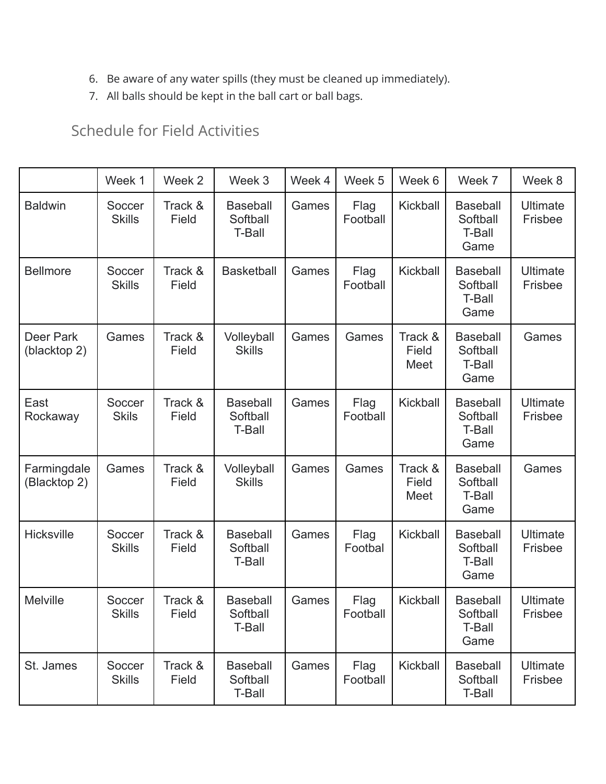- 6. Be aware of any water spills (they must be cleaned up immediately).
- 7. All balls should be kept in the ball cart or ball bags.

# Schedule for Field Activities

|                             | Week 1                  | Week 2           | Week 3                                       | Week 4 | Week 5           | Week 6                   | Week 7                                               | Week 8                     |
|-----------------------------|-------------------------|------------------|----------------------------------------------|--------|------------------|--------------------------|------------------------------------------------------|----------------------------|
| <b>Baldwin</b>              | Soccer<br><b>Skills</b> | Track &<br>Field | <b>Baseball</b><br>Softball<br><b>T-Ball</b> | Games  | Flag<br>Football | Kickball                 | <b>Baseball</b><br>Softball<br><b>T-Ball</b><br>Game | <b>Ultimate</b><br>Frisbee |
| <b>Bellmore</b>             | Soccer<br><b>Skills</b> | Track &<br>Field | <b>Basketball</b>                            | Games  | Flag<br>Football | Kickball                 | <b>Baseball</b><br>Softball<br><b>T-Ball</b><br>Game | <b>Ultimate</b><br>Frisbee |
| Deer Park<br>(blacktop 2)   | Games                   | Track &<br>Field | Volleyball<br><b>Skills</b>                  | Games  | Games            | Track &<br>Field<br>Meet | <b>Baseball</b><br>Softball<br>T-Ball<br>Game        | Games                      |
| East<br>Rockaway            | Soccer<br><b>Skils</b>  | Track &<br>Field | <b>Baseball</b><br>Softball<br><b>T-Ball</b> | Games  | Flag<br>Football | Kickball                 | <b>Baseball</b><br>Softball<br>T-Ball<br>Game        | <b>Ultimate</b><br>Frisbee |
| Farmingdale<br>(Blacktop 2) | Games                   | Track &<br>Field | Volleyball<br><b>Skills</b>                  | Games  | Games            | Track &<br>Field<br>Meet | <b>Baseball</b><br>Softball<br>T-Ball<br>Game        | Games                      |
| <b>Hicksville</b>           | Soccer<br><b>Skills</b> | Track &<br>Field | <b>Baseball</b><br>Softball<br><b>T-Ball</b> | Games  | Flag<br>Footbal  | Kickball                 | <b>Baseball</b><br>Softball<br>T-Ball<br>Game        | <b>Ultimate</b><br>Frisbee |
| <b>Melville</b>             | Soccer<br><b>Skills</b> | Track &<br>Field | <b>Baseball</b><br>Softball<br><b>T-Ball</b> | Games  | Flag<br>Football | Kickball                 | <b>Baseball</b><br>Softball<br>T-Ball<br>Game        | <b>Ultimate</b><br>Frisbee |
| St. James                   | Soccer<br><b>Skills</b> | Track &<br>Field | <b>Baseball</b><br>Softball<br>T-Ball        | Games  | Flag<br>Football | Kickball                 | <b>Baseball</b><br>Softball<br>T-Ball                | <b>Ultimate</b><br>Frisbee |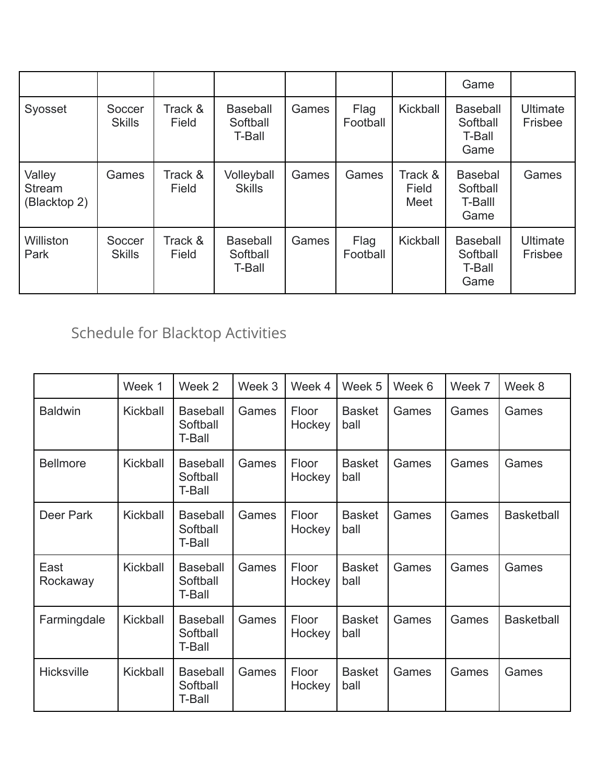|                                         |                         |                  |                                       |       |                  |                          | Game                                          |                            |
|-----------------------------------------|-------------------------|------------------|---------------------------------------|-------|------------------|--------------------------|-----------------------------------------------|----------------------------|
| Syosset                                 | Soccer<br><b>Skills</b> | Track &<br>Field | <b>Baseball</b><br>Softball<br>T-Ball | Games | Flag<br>Football | Kickball                 | <b>Baseball</b><br>Softball<br>T-Ball<br>Game | <b>Ultimate</b><br>Frisbee |
| Valley<br><b>Stream</b><br>(Blacktop 2) | Games                   | Track &<br>Field | Volleyball<br><b>Skills</b>           | Games | Games            | Track &<br>Field<br>Meet | <b>Basebal</b><br>Softball<br>T-Balll<br>Game | Games                      |
| Williston<br>Park                       | Soccer<br><b>Skills</b> | Track &<br>Field | <b>Baseball</b><br>Softball<br>T-Ball | Games | Flag<br>Football | Kickball                 | <b>Baseball</b><br>Softball<br>T-Ball<br>Game | <b>Ultimate</b><br>Frisbee |

# Schedule for Blacktop Activities

|                   | Week 1   | Week 2                                | Week 3 | Week 4          | Week 5                | Week 6 | Week 7 | Week 8            |
|-------------------|----------|---------------------------------------|--------|-----------------|-----------------------|--------|--------|-------------------|
| <b>Baldwin</b>    | Kickball | <b>Baseball</b><br>Softball<br>T-Ball | Games  | Floor<br>Hockey | <b>Basket</b><br>ball | Games  | Games  | Games             |
| <b>Bellmore</b>   | Kickball | <b>Baseball</b><br>Softball<br>T-Ball | Games  | Floor<br>Hockey | <b>Basket</b><br>ball | Games  | Games  | Games             |
| Deer Park         | Kickball | <b>Baseball</b><br>Softball<br>T-Ball | Games  | Floor<br>Hockey | <b>Basket</b><br>ball | Games  | Games  | <b>Basketball</b> |
| East<br>Rockaway  | Kickball | <b>Baseball</b><br>Softball<br>T-Ball | Games  | Floor<br>Hockey | <b>Basket</b><br>ball | Games  | Games  | Games             |
| Farmingdale       | Kickball | <b>Baseball</b><br>Softball<br>T-Ball | Games  | Floor<br>Hockey | <b>Basket</b><br>ball | Games  | Games  | <b>Basketball</b> |
| <b>Hicksville</b> | Kickball | <b>Baseball</b><br>Softball<br>T-Ball | Games  | Floor<br>Hockey | <b>Basket</b><br>ball | Games  | Games  | Games             |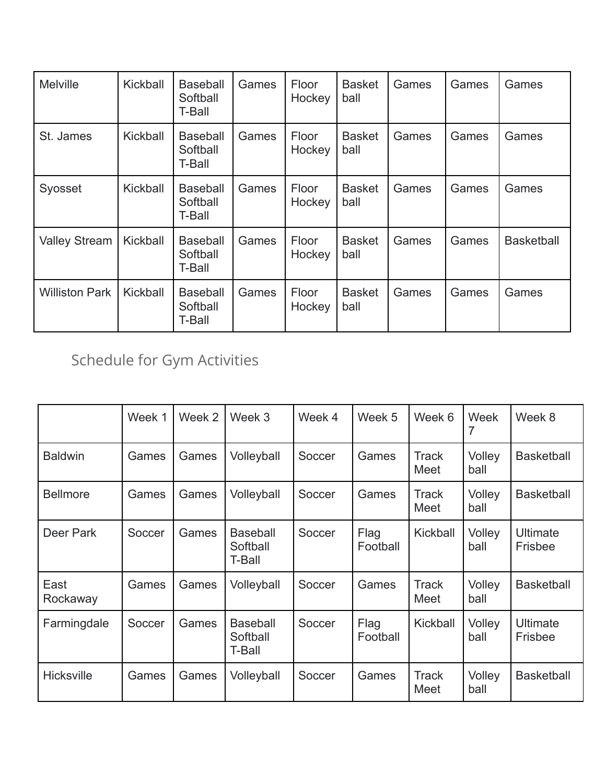| <b>Melville</b>       | Kickball | <b>Baseball</b><br>Softball<br>T-Ball | Games | Floor<br>Hockey | <b>Basket</b><br>ball | Games | Games | Games             |
|-----------------------|----------|---------------------------------------|-------|-----------------|-----------------------|-------|-------|-------------------|
| St. James             | Kickball | <b>Baseball</b><br>Softball<br>T-Ball | Games | Floor<br>Hockey | <b>Basket</b><br>ball | Games | Games | Games             |
| Syosset               | Kickball | <b>Baseball</b><br>Softball<br>T-Ball | Games | Floor<br>Hockey | <b>Basket</b><br>ball | Games | Games | Games             |
| <b>Valley Stream</b>  | Kickball | <b>Baseball</b><br>Softball<br>T-Ball | Games | Floor<br>Hockey | <b>Basket</b><br>ball | Games | Games | <b>Basketball</b> |
| <b>Williston Park</b> | Kickball | <b>Baseball</b><br>Softball<br>T-Ball | Games | Floor<br>Hockey | <b>Basket</b><br>ball | Games | Games | Games             |

Schedule for Gym Activities

|                   | Week 1 | Week 2 | Week 3                                | Week 4 | Week 5           | Week 6               | Week           | Week 8              |
|-------------------|--------|--------|---------------------------------------|--------|------------------|----------------------|----------------|---------------------|
| <b>Baldwin</b>    | Games  | Games  | Volleyball                            | Soccer | Games            | <b>Track</b><br>Meet | Volley<br>ball | <b>Basketball</b>   |
| <b>Bellmore</b>   | Games  | Games  | Volleyball                            | Soccer | Games            | Track<br>Meet        | Volley<br>ball | <b>Basketball</b>   |
| Deer Park         | Soccer | Games  | <b>Baseball</b><br>Softball<br>T-Ball | Soccer | Flag<br>Football | Kickball             | Volley<br>ball | Ultimate<br>Frisbee |
| East<br>Rockaway  | Games  | Games  | Volleyball                            | Soccer | Games            | <b>Track</b><br>Meet | Volley<br>ball | <b>Basketball</b>   |
| Farmingdale       | Soccer | Games  | <b>Baseball</b><br>Softball<br>T-Ball | Soccer | Flag<br>Football | Kickball             | Volley<br>ball | Ultimate<br>Frisbee |
| <b>Hicksville</b> | Games  | Games  | Volleyball                            | Soccer | Games            | <b>Track</b><br>Meet | Volley<br>ball | <b>Basketball</b>   |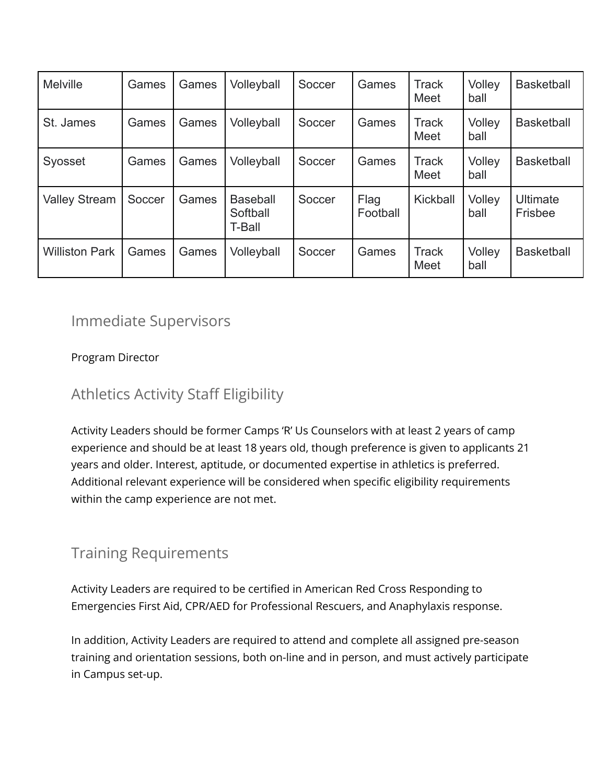| <b>Melville</b>       | Games  | Games | Volleyball                            | Soccer | Games            | <b>Track</b><br>Meet        | Volley<br>ball | <b>Basketball</b>          |
|-----------------------|--------|-------|---------------------------------------|--------|------------------|-----------------------------|----------------|----------------------------|
| St. James             | Games  | Games | Volleyball                            | Soccer | Games            | <b>Track</b><br><b>Meet</b> | Volley<br>ball | <b>Basketball</b>          |
| Syosset               | Games  | Games | Volleyball                            | Soccer | Games            | <b>Track</b><br><b>Meet</b> | Volley<br>ball | <b>Basketball</b>          |
| <b>Valley Stream</b>  | Soccer | Games | <b>Baseball</b><br>Softball<br>T-Ball | Soccer | Flag<br>Football | Kickball                    | Volley<br>ball | <b>Ultimate</b><br>Frisbee |
| <b>Williston Park</b> | Games  | Games | Volleyball                            | Soccer | Games            | <b>Track</b><br><b>Meet</b> | Volley<br>ball | <b>Basketball</b>          |

# Immediate Supervisors

Program Director

# Athletics Activity Staff Eligibility

Activity Leaders should be former Camps 'R' Us Counselors with at least 2 years of camp experience and should be at least 18 years old, though preference is given to applicants 21 years and older. Interest, aptitude, or documented expertise in athletics is preferred. Additional relevant experience will be considered when specific eligibility requirements within the camp experience are not met.

# Training Requirements

Activity Leaders are required to be certified in American Red Cross Responding to Emergencies First Aid, CPR/AED for Professional Rescuers, and Anaphylaxis response.

In addition, Activity Leaders are required to attend and complete all assigned pre-season training and orientation sessions, both on-line and in person, and must actively participate in Campus set-up.